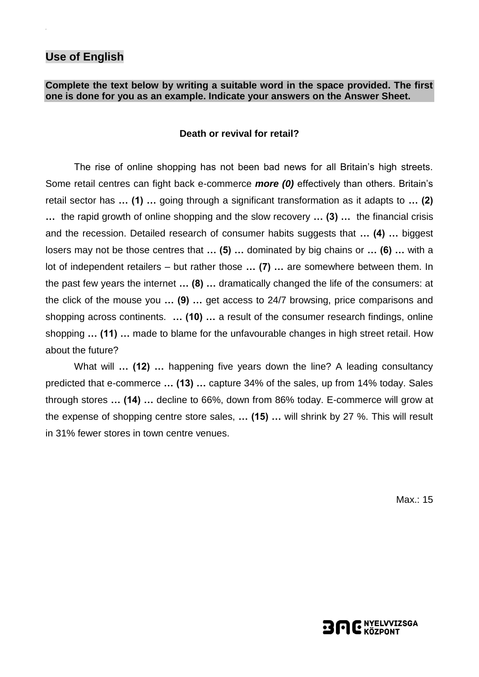### **Use of English**

### **Complete the text below by writing a suitable word in the space provided. The first one is done for you as an example. Indicate your answers on the Answer Sheet.**

#### **Death or revival for retail?**

The rise of online shopping has not been bad news for all Britain's high streets. Some retail centres can fight back e-commerce *more (0)* effectively than others. Britain's retail sector has **… (1) …** going through a significant transformation as it adapts to **… (2) …** the rapid growth of online shopping and the slow recovery **… (3) …** the financial crisis and the recession. Detailed research of consumer habits suggests that **… (4) …** biggest losers may not be those centres that **… (5) …** dominated by big chains or **… (6) …** with a lot of independent retailers – but rather those **… (7) …** are somewhere between them. In the past few years the internet **… (8) …** dramatically changed the life of the consumers: at the click of the mouse you **… (9) …** get access to 24/7 browsing, price comparisons and shopping across continents. **… (10) …** a result of the consumer research findings, online shopping **… (11) …** made to blame for the unfavourable changes in high street retail. How about the future?

What will **… (12) …** happening five years down the line? A leading consultancy predicted that e-commerce **… (13) …** capture 34% of the sales, up from 14% today. Sales through stores **… (14) …** decline to 66%, down from 86% today. E-commerce will grow at the expense of shopping centre store sales, **… (15) …** will shrink by 27 %. This will result in 31% fewer stores in town centre venues.

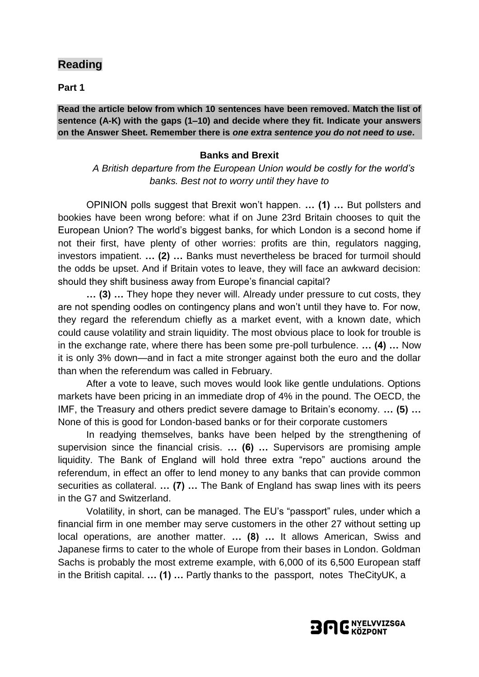### **Reading**

**Part 1**

**Read the article below from which 10 sentences have been removed. Match the list of sentence (A-K) with the gaps (1–10) and decide where they fit. Indicate your answers on the Answer Sheet. Remember there is** *one extra sentence you do not need to use***.**

#### **Banks and Brexit**

*A British departure from the European Union would be costly for the world's banks. Best not to worry until they have to*

OPINION polls suggest that Brexit won't happen. **… (1) …** But pollsters and bookies have been wrong before: what if on June 23rd Britain chooses to quit the European Union? The world's biggest banks, for which London is a second home if not their first, have plenty of other worries: profits are thin, regulators nagging, investors impatient. **… (2) …** Banks must nevertheless be braced for turmoil should the odds be upset. And if Britain votes to leave, they will face an awkward decision: should they shift business away from Europe's financial capital?

**… (3) …** They hope they never will. Already under pressure to cut costs, they are not spending oodles on contingency plans and won't until they have to. For now, they regard the referendum chiefly as a market event, with a known date, which could cause volatility and strain liquidity. The most obvious place to look for trouble is in the exchange rate, where there has been some pre-poll turbulence. **… (4) …** Now it is only 3% down—and in fact a mite stronger against both the euro and the dollar than when the referendum was called in February.

After a vote to leave, such moves would look like gentle undulations. Options markets have been pricing in an immediate drop of 4% in the pound. The OECD, the IMF, the Treasury and others predict severe damage to Britain's economy. **… (5) …** None of this is good for London-based banks or for their corporate customers

In readying themselves, banks have been helped by the strengthening of supervision since the financial crisis. **… (6) …** Supervisors are promising ample liquidity. The Bank of England will hold three extra "repo" auctions around the referendum, in effect an offer to lend money to any banks that can provide common securities as collateral. **… (7) …** The Bank of England has swap lines with its peers in the G7 and Switzerland.

Volatility, in short, can be managed. The EU's "passport" rules, under which a financial firm in one member may serve customers in the other 27 without setting up local operations, are another matter. **… (8) …** It allows American, Swiss and Japanese firms to cater to the whole of Europe from their bases in London. Goldman Sachs is probably the most extreme example, with 6,000 of its 6,500 European staff in the British capital. **… (1) …** Partly thanks to the passport, notes TheCityUK, a

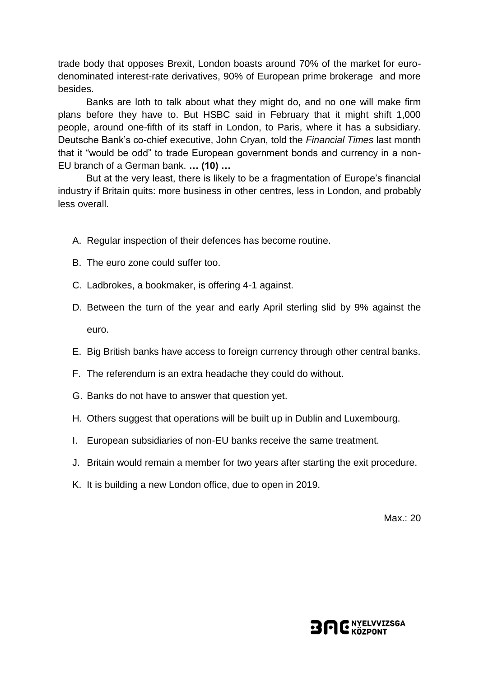trade body that opposes Brexit, London boasts around 70% of the market for eurodenominated interest-rate derivatives, 90% of European prime brokerage and more besides.

Banks are loth to talk about what they might do, and no one will make firm plans before they have to. But HSBC said in February that it might shift 1,000 people, around one-fifth of its staff in London, to Paris, where it has a subsidiary. Deutsche Bank's co-chief executive, John Cryan, told the *Financial Times* last month that it "would be odd" to trade European government bonds and currency in a non-EU branch of a German bank. **… (10) …**

But at the very least, there is likely to be a fragmentation of Europe's financial industry if Britain quits: more business in other centres, less in London, and probably less overall.

- A. Regular inspection of their defences has become routine.
- B. The euro zone could suffer too.
- C. Ladbrokes, a bookmaker, is offering 4-1 against.
- D. Between the turn of the year and early April sterling slid by 9% against the euro.
- E. Big British banks have access to foreign currency through other central banks.
- F. The referendum is an extra headache they could do without.
- G. Banks do not have to answer that question yet.
- H. Others suggest that operations will be built up in Dublin and Luxembourg.
- I. European subsidiaries of non-EU banks receive the same treatment.
- J. Britain would remain a member for two years after starting the exit procedure.
- K. It is building a new London office, due to open in 2019.

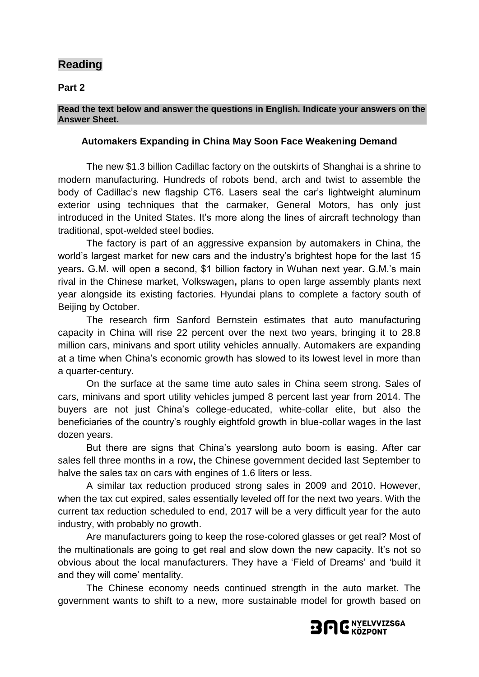## **Reading**

**Part 2**

### **Read the text below and answer the questions in English. Indicate your answers on the Answer Sheet.**

### **Automakers Expanding in China May Soon Face Weakening Demand**

The new \$1.3 billion Cadillac factory on the outskirts of Shanghai is a shrine to modern manufacturing. Hundreds of robots bend, arch and twist to assemble the body of Cadillac's new flagship CT6. Lasers seal the car's lightweight aluminum exterior using techniques that the carmaker, General Motors, has only just introduced in the United States. It's more along the lines of aircraft technology than traditional, spot-welded steel bodies.

The factory is part of an aggressive expansion by automakers in China, the world's largest market for new cars and the industry's brightest hope for the last 15 years**.** G.M. will open a second, \$1 billion factory in Wuhan next year. G.M.'s main rival in the Chinese market, [Volkswagen](http://www.nytimes.com/topic/company/volkswagen-ag?inline=nyt-org)**,** plans to open large assembly plants next year alongside its existing factories. Hyundai plans to complete a factory south of Beijing by October.

The research firm Sanford Bernstein estimates that auto manufacturing capacity in China will rise 22 percent over the next two years, bringing it to 28.8 million cars, minivans and sport utility vehicles annually. Automakers are expanding at a time when China's economic growth has slowed to its lowest level in more than a quarter-century.

On the surface at the same time auto sales in China seem strong. Sales of cars, minivans and sport utility vehicles jumped 8 percent last year from 2014. The buyers are not just China's college-educated, white-collar elite, but also the beneficiaries of the country's roughly eightfold growth in blue-collar wages in the last dozen years.

But there are signs that China's yearslong auto boom is easing. After car sales fell three months in a row**,** the Chinese government decided last September to halve the sales tax on cars with engines of 1.6 liters or less.

A similar tax reduction produced strong sales in 2009 and 2010. However, when the tax cut expired, sales essentially leveled off for the next two years. With the current tax reduction scheduled to end, 2017 will be a very difficult year for the auto industry, with probably no growth.

Are manufacturers going to keep the rose-colored glasses or get real? Most of the multinationals are going to get real and slow down the new capacity. It's not so obvious about the local manufacturers. They have a 'Field of Dreams' and 'build it and they will come' mentality.

The Chinese economy needs continued strength in the auto market. The government wants to shift to a new, more sustainable model for growth based on

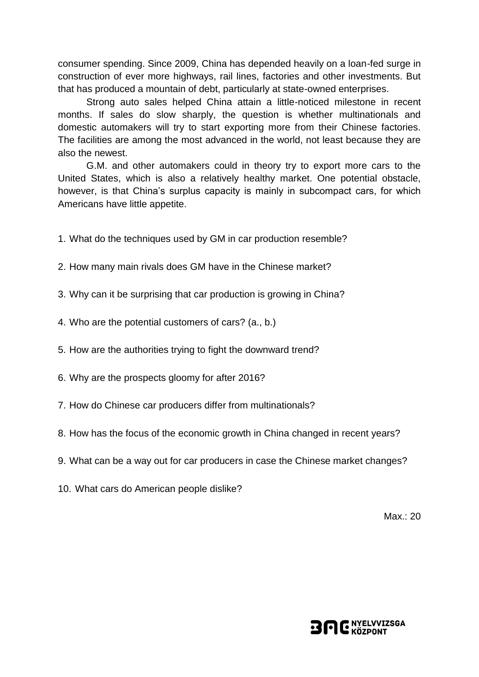consumer spending. Since 2009, China has depended heavily on a loan-fed surge in construction of ever more highways, rail lines, factories and other investments. But that has produced a mountain of debt, particularly at state-owned enterprises.

Strong auto sales helped China attain a little-noticed milestone in recent months. If sales do slow sharply, the question is whether multinationals and domestic automakers will try to start exporting more from their Chinese factories. The facilities are among the most advanced in the world, not least because they are also the newest.

G.M. and other automakers could in theory try to export more cars to the United States, which is also a relatively healthy market. One potential obstacle, however, is that China's surplus capacity is mainly in subcompact cars, for which Americans have little appetite.

- 1. What do the techniques used by GM in car production resemble?
- 2. How many main rivals does GM have in the Chinese market?
- 3. Why can it be surprising that car production is growing in China?
- 4. Who are the potential customers of cars? (a., b.)
- 5. How are the authorities trying to fight the downward trend?
- 6. Why are the prospects gloomy for after 2016?
- 7. How do Chinese car producers differ from multinationals?
- 8. How has the focus of the economic growth in China changed in recent years?
- 9. What can be a way out for car producers in case the Chinese market changes?
- 10. What cars do American people dislike?

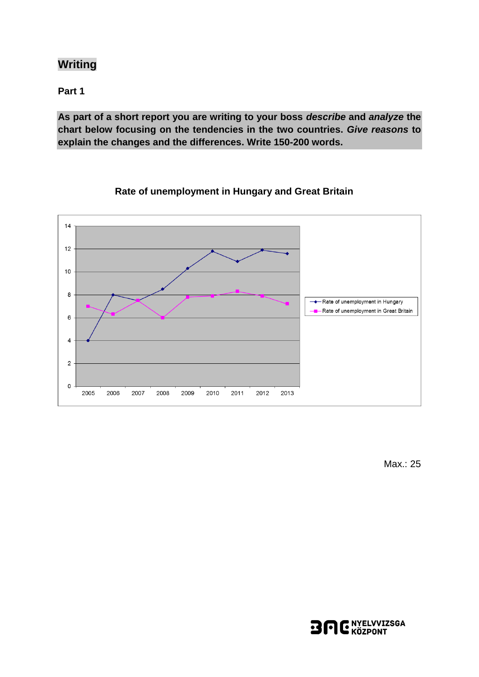## **Writing**

**Part 1**

**As part of a short report you are writing to your boss** *describe* **and** *analyze* **the chart below focusing on the tendencies in the two countries.** *Give reasons* **to explain the changes and the differences. Write 150-200 words.**



**Rate of unemployment in Hungary and Great Britain**